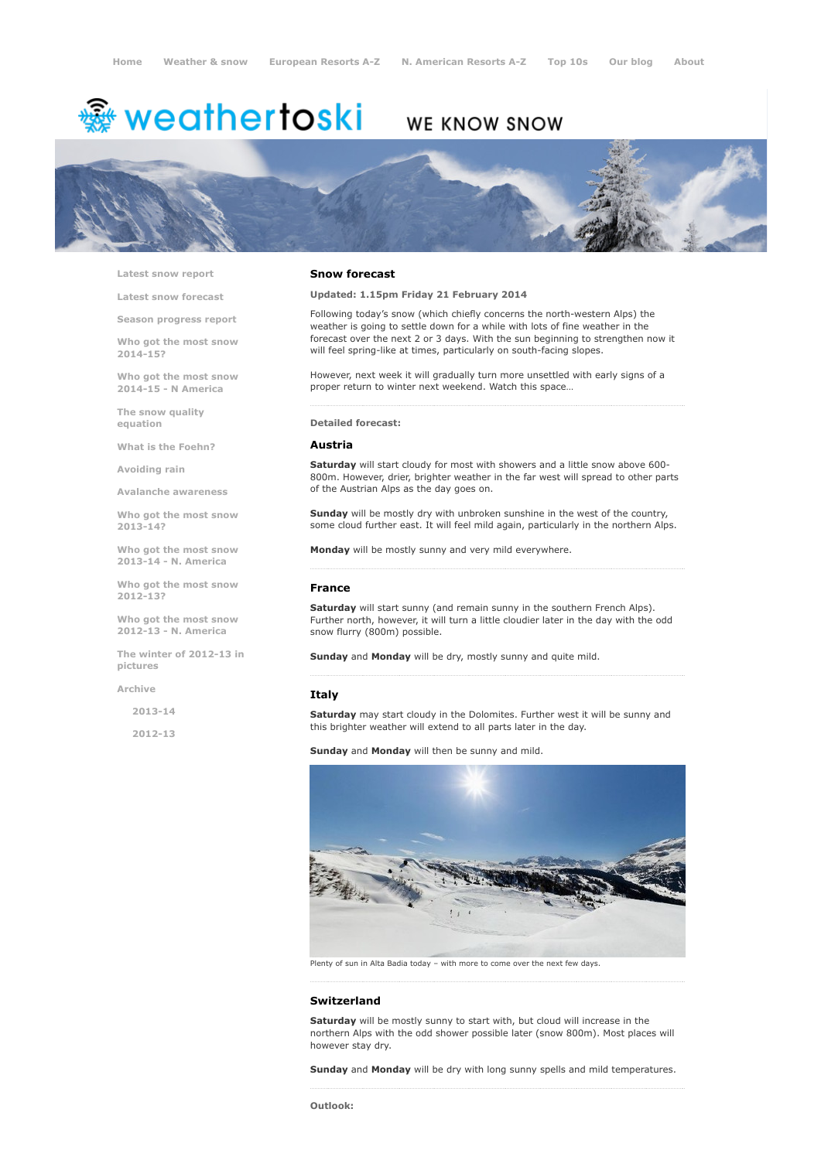# weathertoski ﷺ

# WE KNOW SNOW



Latest snow [report](http://www.weathertoski.co.uk/weather-snow/latest-snow-report/)

Latest snow [forecast](http://www.weathertoski.co.uk/weather-snow/latest-snow-forecast/)

Season [progress](http://www.weathertoski.co.uk/weather-snow/season-progress-report/) report

Who got the most snow 2014-15?

Who got the most snow 2014-15 - N America

The snow quality [equation](http://www.weathertoski.co.uk/weather-snow/the-snow-quality-equation/)

What is the [Foehn?](http://www.weathertoski.co.uk/weather-snow/what-is-the-foehn/)

[Avoiding](http://www.weathertoski.co.uk/weather-snow/avoiding-rain/) rain

Avalanche [awareness](http://www.weathertoski.co.uk/weather-snow/avalanche-awareness/)

Who got the most snow 2013-14?

Who got the most snow 2013-14 - N. America

Who got the most snow 2012-13?

Who got the most snow 2012-13 - N. America

The winter of 2012-13 in pictures

[Archive](http://www.weathertoski.co.uk/weather-snow/archive/)

2013-14

2012-13

### Snow forecast

Updated: 1.15pm Friday 21 February 2014

Following today's snow (which chiefly concerns the north-western Alps) the weather is going to settle down for a while with lots of fine weather in the forecast over the next 2 or 3 days. With the sun beginning to strengthen now it will feel spring-like at times, particularly on south-facing slopes.

However, next week it will gradually turn more unsettled with early signs of a proper return to winter next weekend. Watch this space…

# Detailed forecast:

# Austria

Saturday will start cloudy for most with showers and a little snow above 600-800m. However, drier, brighter weather in the far west will spread to other parts of the Austrian Alps as the day goes on.

Sunday will be mostly dry with unbroken sunshine in the west of the country, some cloud further east. It will feel mild again, particularly in the northern Alps.

Monday will be mostly sunny and very mild everywhere.

### France

Saturday will start sunny (and remain sunny in the southern French Alps). Further north, however, it will turn a little cloudier later in the day with the odd snow flurry (800m) possible.

Sunday and Monday will be dry, mostly sunny and quite mild.

# Italy

Saturday may start cloudy in the Dolomites. Further west it will be sunny and this brighter weather will extend to all parts later in the day.

Sunday and Monday will then be sunny and mild.



Plenty of sun in Alta Badia today – with more to come over the next few days.

# Switzerland

Saturday will be mostly sunny to start with, but cloud will increase in the northern Alps with the odd shower possible later (snow 800m). Most places will however stay dry.

Sunday and Monday will be dry with long sunny spells and mild temperatures.

Outlook: